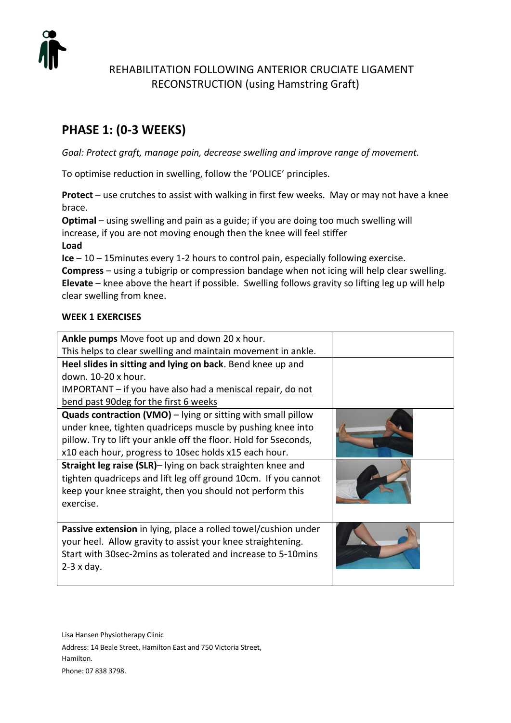

# REHABILITATION FOLLOWING ANTERIOR CRUCIATE LIGAMENT RECONSTRUCTION (using Hamstring Graft)

# **PHASE 1: (0-3 WEEKS)**

*Goal: Protect graft, manage pain, decrease swelling and improve range of movement.*

To optimise reduction in swelling, follow the 'POLICE' principles.

**Protect** – use crutches to assist with walking in first few weeks. May or may not have a knee brace.

**Optimal** – using swelling and pain as a guide; if you are doing too much swelling will increase, if you are not moving enough then the knee will feel stiffer **Load** 

**Ice** – 10 – 15minutes every 1-2 hours to control pain, especially following exercise.

**Compress** – using a tubigrip or compression bandage when not icing will help clear swelling. **Elevate** – knee above the heart if possible. Swelling follows gravity so lifting leg up will help clear swelling from knee.

# **WEEK 1 EXERCISES**

| Ankle pumps Move foot up and down 20 x hour.                                                                                                                                                                                                                                                                                                                                                                                                                              |  |
|---------------------------------------------------------------------------------------------------------------------------------------------------------------------------------------------------------------------------------------------------------------------------------------------------------------------------------------------------------------------------------------------------------------------------------------------------------------------------|--|
| This helps to clear swelling and maintain movement in ankle.                                                                                                                                                                                                                                                                                                                                                                                                              |  |
| Heel slides in sitting and lying on back. Bend knee up and                                                                                                                                                                                                                                                                                                                                                                                                                |  |
| down. 10-20 x hour.                                                                                                                                                                                                                                                                                                                                                                                                                                                       |  |
| <u>IMPORTANT – if you have also had a meniscal repair, do not</u>                                                                                                                                                                                                                                                                                                                                                                                                         |  |
| bend past 90 deg for the first 6 weeks                                                                                                                                                                                                                                                                                                                                                                                                                                    |  |
| <b>Quads contraction (VMO)</b> – lying or sitting with small pillow<br>under knee, tighten quadriceps muscle by pushing knee into<br>pillow. Try to lift your ankle off the floor. Hold for 5seconds,<br>x10 each hour, progress to 10sec holds x15 each hour.<br>Straight leg raise (SLR)- lying on back straighten knee and<br>tighten quadriceps and lift leg off ground 10cm. If you cannot<br>keep your knee straight, then you should not perform this<br>exercise. |  |
| Passive extension in lying, place a rolled towel/cushion under<br>your heel. Allow gravity to assist your knee straightening.<br>Start with 30sec-2mins as tolerated and increase to 5-10mins<br>$2-3 \times day.$                                                                                                                                                                                                                                                        |  |

Lisa Hansen Physiotherapy Clinic

Address: 14 Beale Street, Hamilton East and 750 Victoria Street, Hamilton.

Phone: 07 838 3798.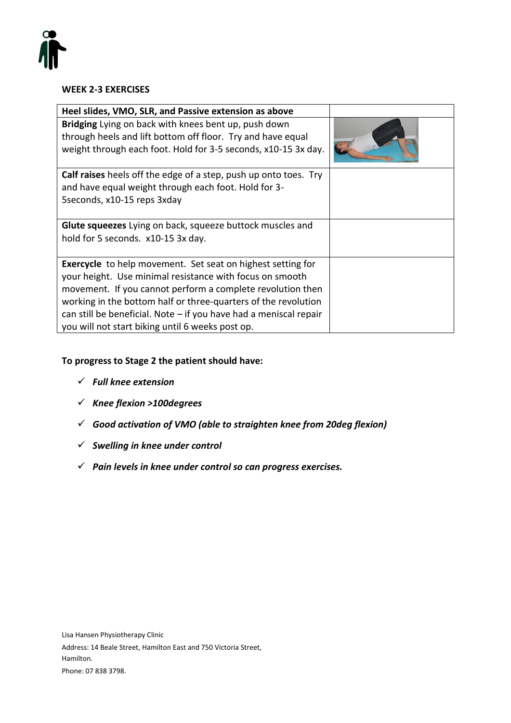

### **WEEK 2-3 EXERCISES**

| Heel slides, VMO, SLR, and Passive extension as above                                                                                                                                                                                                                                                                                                                                     |  |
|-------------------------------------------------------------------------------------------------------------------------------------------------------------------------------------------------------------------------------------------------------------------------------------------------------------------------------------------------------------------------------------------|--|
| Bridging Lying on back with knees bent up, push down<br>through heels and lift bottom off floor. Try and have equal<br>weight through each foot. Hold for 3-5 seconds, x10-15 3x day.                                                                                                                                                                                                     |  |
| <b>Calf raises</b> heels off the edge of a step, push up onto toes. Try<br>and have equal weight through each foot. Hold for 3-<br>5seconds, x10-15 reps 3xday                                                                                                                                                                                                                            |  |
| <b>Glute squeezes</b> Lying on back, squeeze buttock muscles and<br>hold for 5 seconds. x10-15 3x day.                                                                                                                                                                                                                                                                                    |  |
| <b>Exercycle</b> to help movement. Set seat on highest setting for<br>your height. Use minimal resistance with focus on smooth<br>movement. If you cannot perform a complete revolution then<br>working in the bottom half or three-quarters of the revolution<br>can still be beneficial. Note $-$ if you have had a meniscal repair<br>you will not start biking until 6 weeks post op. |  |

# **To progress to Stage 2 the patient should have:**

- ✓ *Full knee extension*
- ✓ *Knee flexion >100degrees*
- ✓ *Good activation of VMO (able to straighten knee from 20deg flexion)*
- ✓ *Swelling in knee under control*
- ✓ *Pain levels in knee under control so can progress exercises.*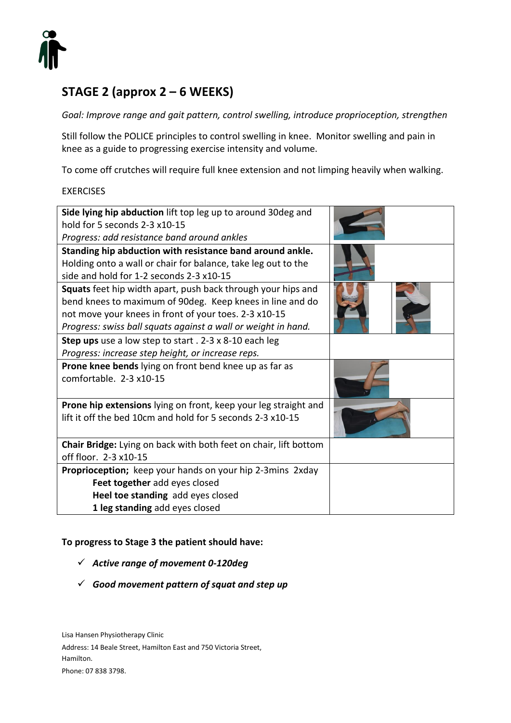

# **STAGE 2 (approx 2 – 6 WEEKS)**

*Goal: Improve range and gait pattern, control swelling, introduce proprioception, strengthen*

Still follow the POLICE principles to control swelling in knee. Monitor swelling and pain in knee as a guide to progressing exercise intensity and volume.

To come off crutches will require full knee extension and not limping heavily when walking.

#### **EXERCISES**

| Side lying hip abduction lift top leg up to around 30deg and                                                                                                                                                                                        |  |
|-----------------------------------------------------------------------------------------------------------------------------------------------------------------------------------------------------------------------------------------------------|--|
| hold for 5 seconds 2-3 x10-15                                                                                                                                                                                                                       |  |
| Progress: add resistance band around ankles                                                                                                                                                                                                         |  |
| Standing hip abduction with resistance band around ankle.                                                                                                                                                                                           |  |
| Holding onto a wall or chair for balance, take leg out to the                                                                                                                                                                                       |  |
| side and hold for 1-2 seconds 2-3 x10-15                                                                                                                                                                                                            |  |
| Squats feet hip width apart, push back through your hips and<br>bend knees to maximum of 90deg. Keep knees in line and do<br>not move your knees in front of your toes. 2-3 x10-15<br>Progress: swiss ball squats against a wall or weight in hand. |  |
| Step ups use a low step to start . 2-3 x 8-10 each leg                                                                                                                                                                                              |  |
| Progress: increase step height, or increase reps.                                                                                                                                                                                                   |  |
| <b>Prone knee bends</b> lying on front bend knee up as far as                                                                                                                                                                                       |  |
| comfortable. $2-3 \times 10-15$                                                                                                                                                                                                                     |  |
| <b>Prone hip extensions</b> lying on front, keep your leg straight and                                                                                                                                                                              |  |
| lift it off the bed 10cm and hold for 5 seconds 2-3 x10-15                                                                                                                                                                                          |  |
| Chair Bridge: Lying on back with both feet on chair, lift bottom                                                                                                                                                                                    |  |
| off floor. 2-3 x10-15                                                                                                                                                                                                                               |  |
| Proprioception; keep your hands on your hip 2-3mins 2xday                                                                                                                                                                                           |  |
| Feet together add eyes closed                                                                                                                                                                                                                       |  |
| Heel toe standing add eyes closed                                                                                                                                                                                                                   |  |
| 1 leg standing add eyes closed                                                                                                                                                                                                                      |  |

#### **To progress to Stage 3 the patient should have:**

- ✓ *Active range of movement 0-120deg*
- ✓ *Good movement pattern of squat and step up*

Lisa Hansen Physiotherapy Clinic

Address: 14 Beale Street, Hamilton East and 750 Victoria Street, Hamilton. Phone: 07 838 3798.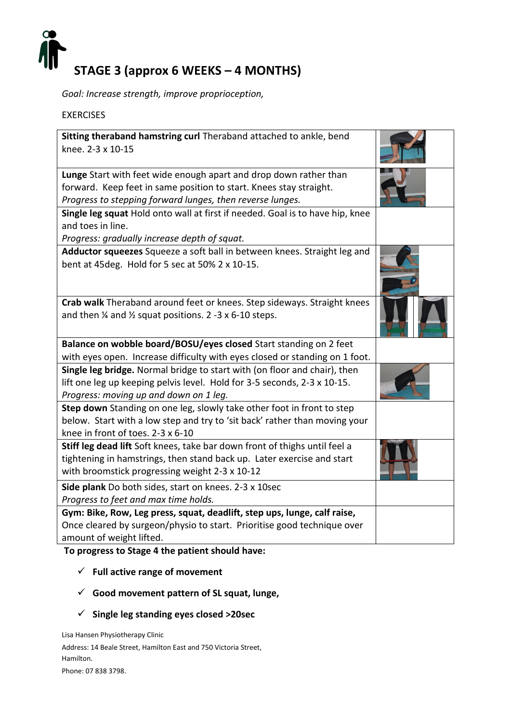

*Goal: Increase strength, improve proprioception,* 

EXERCISES

| Sitting theraband hamstring curl Theraband attached to ankle, bend<br>knee. 2-3 x 10-15                                                                                                                                             |  |
|-------------------------------------------------------------------------------------------------------------------------------------------------------------------------------------------------------------------------------------|--|
| Lunge Start with feet wide enough apart and drop down rather than                                                                                                                                                                   |  |
| forward. Keep feet in same position to start. Knees stay straight.                                                                                                                                                                  |  |
| Progress to stepping forward lunges, then reverse lunges.                                                                                                                                                                           |  |
| Single leg squat Hold onto wall at first if needed. Goal is to have hip, knee<br>and toes in line.                                                                                                                                  |  |
| Progress: gradually increase depth of squat.                                                                                                                                                                                        |  |
| Adductor squeezes Squeeze a soft ball in between knees. Straight leg and<br>bent at 45 deg. Hold for 5 sec at 50% 2 x 10-15.                                                                                                        |  |
| Crab walk Theraband around feet or knees. Step sideways. Straight knees                                                                                                                                                             |  |
| and then $\frac{1}{4}$ and $\frac{1}{2}$ squat positions. 2 -3 x 6-10 steps.                                                                                                                                                        |  |
| Balance on wobble board/BOSU/eyes closed Start standing on 2 feet                                                                                                                                                                   |  |
| with eyes open. Increase difficulty with eyes closed or standing on 1 foot.                                                                                                                                                         |  |
| Single leg bridge. Normal bridge to start with (on floor and chair), then                                                                                                                                                           |  |
|                                                                                                                                                                                                                                     |  |
| lift one leg up keeping pelvis level. Hold for 3-5 seconds, 2-3 x 10-15.                                                                                                                                                            |  |
| Progress: moving up and down on 1 leg.<br>Step down Standing on one leg, slowly take other foot in front to step<br>below. Start with a low step and try to 'sit back' rather than moving your<br>knee in front of toes. 2-3 x 6-10 |  |
| Stiff leg dead lift Soft knees, take bar down front of thighs until feel a<br>tightening in hamstrings, then stand back up. Later exercise and start<br>with broomstick progressing weight 2-3 x 10-12                              |  |
| Side plank Do both sides, start on knees. 2-3 x 10sec                                                                                                                                                                               |  |
| Progress to feet and max time holds.                                                                                                                                                                                                |  |
| Gym: Bike, Row, Leg press, squat, deadlift, step ups, lunge, calf raise,                                                                                                                                                            |  |
| Once cleared by surgeon/physio to start. Prioritise good technique over<br>amount of weight lifted.                                                                                                                                 |  |

# **To progress to Stage 4 the patient should have:**

- ✓ **Full active range of movement**
- ✓ **Good movement pattern of SL squat, lunge,**
- ✓ **Single leg standing eyes closed >20sec**

Lisa Hansen Physiotherapy Clinic Address: 14 Beale Street, Hamilton East and 750 Victoria Street, Hamilton. Phone: 07 838 3798.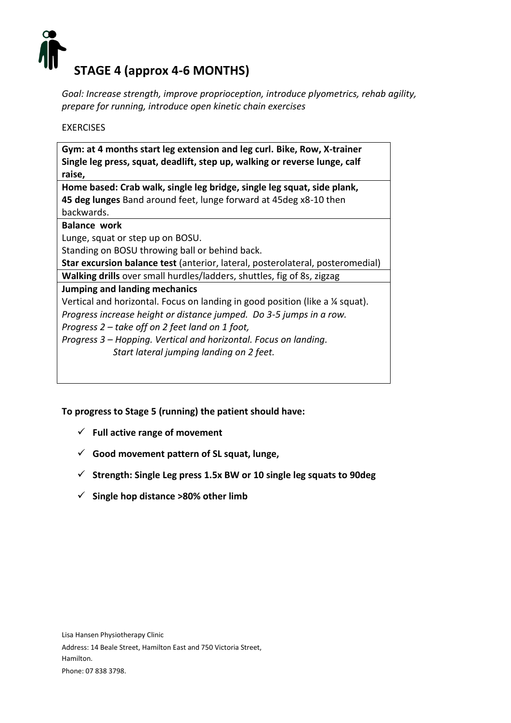

*Goal: Increase strength, improve proprioception, introduce plyometrics, rehab agility, prepare for running, introduce open kinetic chain exercises*

# EXERCISES

| Gym: at 4 months start leg extension and leg curl. Bike, Row, X-trainer<br>Single leg press, squat, deadlift, step up, walking or reverse lunge, calf |  |
|-------------------------------------------------------------------------------------------------------------------------------------------------------|--|
| raise,                                                                                                                                                |  |
| Home based: Crab walk, single leg bridge, single leg squat, side plank,                                                                               |  |
| 45 deg lunges Band around feet, lunge forward at 45 deg x8-10 then                                                                                    |  |
| backwards.                                                                                                                                            |  |
| <b>Balance work</b>                                                                                                                                   |  |
| Lunge, squat or step up on BOSU.                                                                                                                      |  |
| Standing on BOSU throwing ball or behind back.                                                                                                        |  |
| Star excursion balance test (anterior, lateral, posterolateral, posteromedial)                                                                        |  |
| Walking drills over small hurdles/ladders, shuttles, fig of 8s, zigzag                                                                                |  |
| Jumping and landing mechanics                                                                                                                         |  |
| Vertical and horizontal. Focus on landing in good position (like a 1/4 squat).                                                                        |  |
| Progress increase height or distance jumped. Do 3-5 jumps in a row.                                                                                   |  |
| Progress 2 – take off on 2 feet land on 1 foot,                                                                                                       |  |
| Progress 3 - Hopping. Vertical and horizontal. Focus on landing.                                                                                      |  |
| Start lateral jumping landing on 2 feet.                                                                                                              |  |

**To progress to Stage 5 (running) the patient should have:**

- ✓ **Full active range of movement**
- ✓ **Good movement pattern of SL squat, lunge,**
- ✓ **Strength: Single Leg press 1.5x BW or 10 single leg squats to 90deg**
- ✓ **Single hop distance >80% other limb**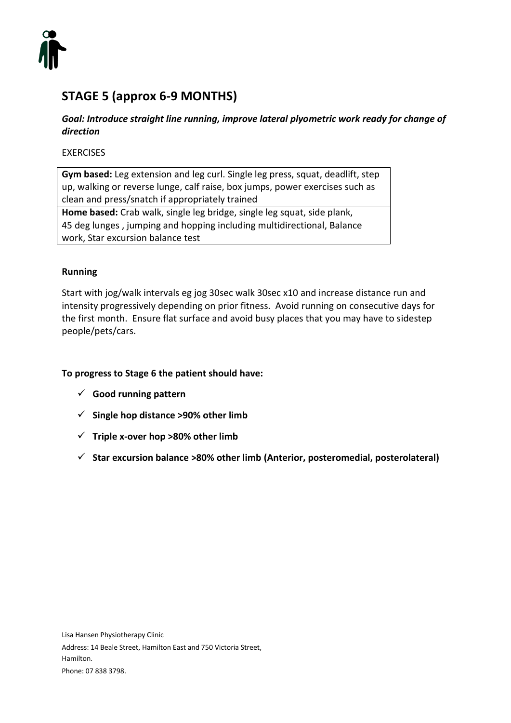

# **STAGE 5 (approx 6-9 MONTHS)**

# *Goal: Introduce straight line running, improve lateral plyometric work ready for change of direction*

# EXERCISES

**Gym based:** Leg extension and leg curl. Single leg press, squat, deadlift, step up, walking or reverse lunge, calf raise, box jumps, power exercises such as clean and press/snatch if appropriately trained **Home based:** Crab walk, single leg bridge, single leg squat, side plank,

45 deg lunges , jumping and hopping including multidirectional, Balance work, Star excursion balance test

# **Running**

Start with jog/walk intervals eg jog 30sec walk 30sec x10 and increase distance run and intensity progressively depending on prior fitness. Avoid running on consecutive days for the first month. Ensure flat surface and avoid busy places that you may have to sidestep people/pets/cars.

#### **To progress to Stage 6 the patient should have:**

- ✓ **Good running pattern**
- ✓ **Single hop distance >90% other limb**
- ✓ **Triple x-over hop >80% other limb**
- ✓ **Star excursion balance >80% other limb (Anterior, posteromedial, posterolateral)**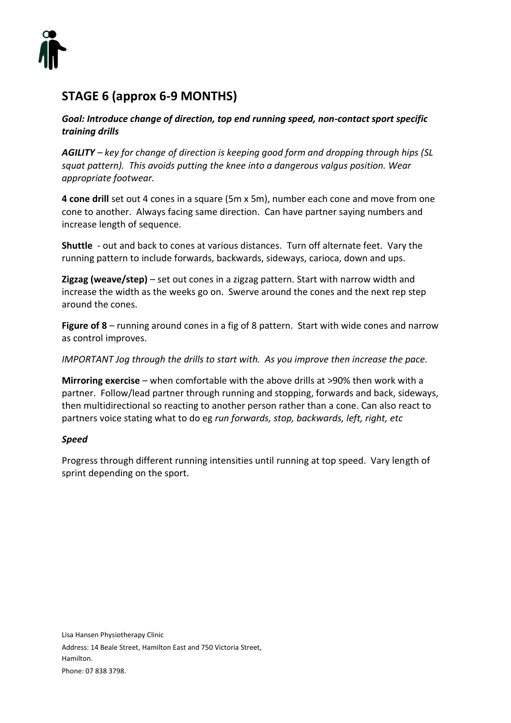

# **STAGE 6 (approx 6-9 MONTHS)**

*Goal: Introduce change of direction, top end running speed, non-contact sport specific training drills*

*AGILITY – key for change of direction is keeping good form and dropping through hips (SL squat pattern). This avoids putting the knee into a dangerous valgus position. Wear appropriate footwear.* 

**4 cone drill** set out 4 cones in a square (5m x 5m), number each cone and move from one cone to another. Always facing same direction. Can have partner saying numbers and increase length of sequence.

**Shuttle** - out and back to cones at various distances. Turn off alternate feet. Vary the running pattern to include forwards, backwards, sideways, carioca, down and ups.

**Zigzag (weave/step)** – set out cones in a zigzag pattern. Start with narrow width and increase the width as the weeks go on. Swerve around the cones and the next rep step around the cones.

**Figure of 8** – running around cones in a fig of 8 pattern. Start with wide cones and narrow as control improves.

*IMPORTANT Jog through the drills to start with. As you improve then increase the pace.* 

**Mirroring exercise** – when comfortable with the above drills at >90% then work with a partner. Follow/lead partner through running and stopping, forwards and back, sideways, then multidirectional so reacting to another person rather than a cone. Can also react to partners voice stating what to do eg *run forwards, stop, backwards, left, right, etc*

# *Speed*

Progress through different running intensities until running at top speed. Vary length of sprint depending on the sport.